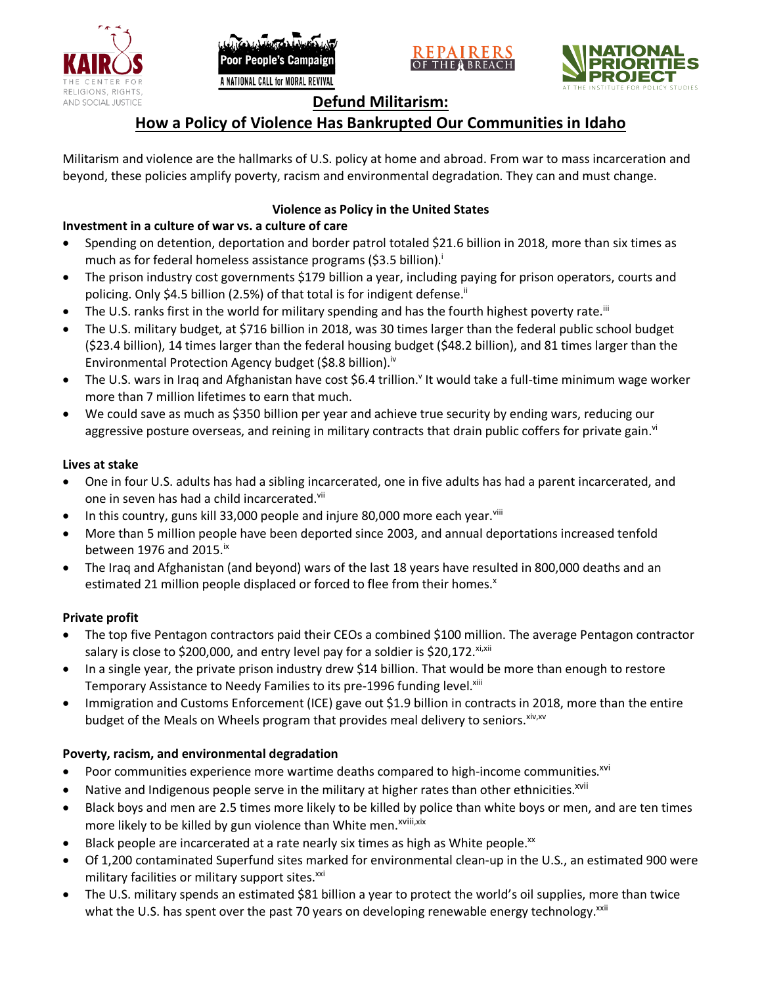





# **Defund Militarism:**

# **How a Policy of Violence Has Bankrupted Our Communities in Idaho**

Militarism and violence are the hallmarks of U.S. policy at home and abroad. From war to mass incarceration and beyond, these policies amplify poverty, racism and environmental degradation. They can and must change.

# **Violence as Policy in the United States**

# **Investment in a culture of war vs. a culture of care**

- Spending on detention, deportation and border patrol totaled \$21.6 billion in 2018, more than six times as much as for federal homeless assistance programs (\$3.5 billion).<sup>i</sup>
- The prison industry cost governments \$179 billion a year, including paying for prison operators, courts and policing. Only \$4.5 billion (2.5%) of that total is for indigent defense.<sup>ii</sup>
- The U.S. ranks first in the world for military spending and has the fourth highest poverty rate.<sup>iii</sup>
- The U.S. military budget, at \$716 billion in 2018, was 30 times larger than the federal public school budget (\$23.4 billion), 14 times larger than the federal housing budget (\$48.2 billion), and 81 times larger than the Environmental Protection Agency budget (\$8.8 billion).<sup>iv</sup>
- The U.S. wars in Iraq and Afghanistan have cost \$6.4 trillion.<sup>v</sup> It would take a full-time minimum wage worker more than 7 million lifetimes to earn that much.
- We could save as much as \$350 billion per year and achieve true security by ending wars, reducing our aggressive posture overseas, and reining in military contracts that drain public coffers for private gain.<sup>vi</sup>

### **Lives at stake**

- One in four U.S. adults has had a sibling incarcerated, one in five adults has had a parent incarcerated, and one in seven has had a child incarcerated.vii
- In this country, guns kill 33,000 people and injure 80,000 more each year. $v_{\text{lin}}$
- More than 5 million people have been deported since 2003, and annual deportations increased tenfold between 1976 and 2015. $\mathrm{i}$ <sup>x</sup>
- The Iraq and Afghanistan (and beyond) wars of the last 18 years have resulted in 800,000 deaths and an estimated 21 million people displaced or forced to flee from their homes.<sup>x</sup>

## **Private profit**

- The top five Pentagon contractors paid their CEOs a combined \$100 million. The average Pentagon contractor salary is close to \$200,000, and entry level pay for a soldier is \$20,172. xi,xii
- In a single year, the private prison industry drew \$14 billion. That would be more than enough to restore Temporary Assistance to Needy Families to its pre-1996 funding level.<sup>xiii</sup>
- Immigration and Customs Enforcement (ICE) gave out \$1.9 billion in contracts in 2018, more than the entire budget of the Meals on Wheels program that provides meal delivery to seniors. Xiv, XV

## **Poverty, racism, and environmental degradation**

- Poor communities experience more wartime deaths compared to high-income communities.<sup>xvi</sup>
- Native and Indigenous people serve in the military at higher rates than other ethnicities.<sup>xvii</sup>
- Black boys and men are 2.5 times more likely to be killed by police than white boys or men, and are ten times more likely to be killed by gun violence than White men.<sup>xviii,xix</sup>
- Black people are incarcerated at a rate nearly six times as high as White people.<sup>xx</sup>
- Of 1,200 contaminated Superfund sites marked for environmental clean-up in the U.S., an estimated 900 were military facilities or military support sites.<sup>xxi</sup>
- The U.S. military spends an estimated \$81 billion a year to protect the world's oil supplies, more than twice what the U.S. has spent over the past 70 years on developing renewable energy technology.<sup>xxii</sup>